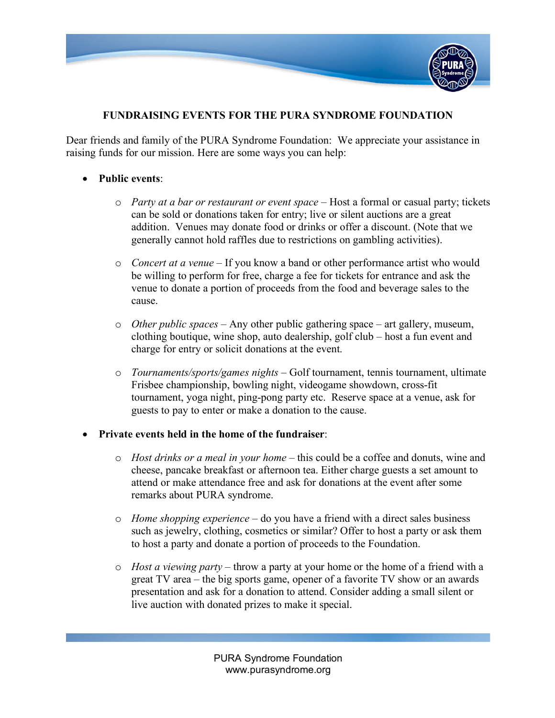

## **FUNDRAISING EVENTS FOR THE PURA SYNDROME FOUNDATION**

Dear friends and family of the PURA Syndrome Foundation: We appreciate your assistance in raising funds for our mission. Here are some ways you can help:

## • **Public events**:

- o *Party at a bar or restaurant or event space* Host a formal or casual party; tickets can be sold or donations taken for entry; live or silent auctions are a great addition. Venues may donate food or drinks or offer a discount. (Note that we generally cannot hold raffles due to restrictions on gambling activities).
- o *Concert at a venue* If you know a band or other performance artist who would be willing to perform for free, charge a fee for tickets for entrance and ask the venue to donate a portion of proceeds from the food and beverage sales to the cause.
- o *Other public spaces* Any other public gathering space art gallery, museum, clothing boutique, wine shop, auto dealership, golf club – host a fun event and charge for entry or solicit donations at the event.
- o *Tournaments/sports/games nights* Golf tournament, tennis tournament, ultimate Frisbee championship, bowling night, videogame showdown, cross-fit tournament, yoga night, ping-pong party etc. Reserve space at a venue, ask for guests to pay to enter or make a donation to the cause.

## • **Private events held in the home of the fundraiser**:

- o *Host drinks or a meal in your home* this could be a coffee and donuts, wine and cheese, pancake breakfast or afternoon tea. Either charge guests a set amount to attend or make attendance free and ask for donations at the event after some remarks about PURA syndrome.
- o *Home shopping experience* do you have a friend with a direct sales business such as jewelry, clothing, cosmetics or similar? Offer to host a party or ask them to host a party and donate a portion of proceeds to the Foundation.
- o *Host a viewing party* throw a party at your home or the home of a friend with a great TV area – the big sports game, opener of a favorite TV show or an awards presentation and ask for a donation to attend. Consider adding a small silent or live auction with donated prizes to make it special.